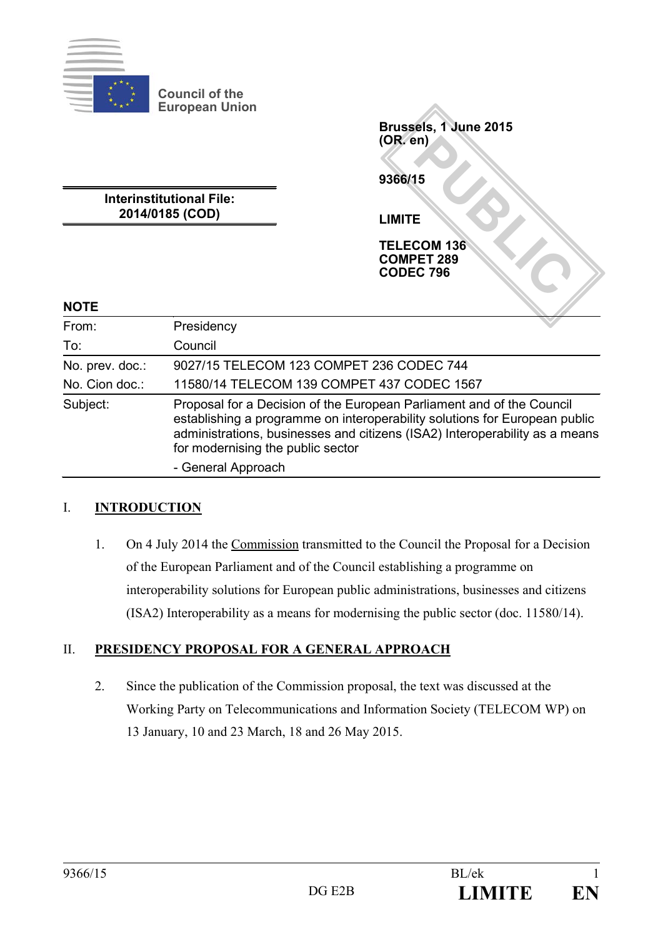

**Interinstitutional File: 2014/0185 (COD)**

PUBLIC<br> **PUBLIC 796**<br>COM 136<br>CC 796 **Brussels, 1 June 2015 (OR. en) 9366/15 LIMITE TELECOM 136 COMPET 289 CODEC 796**

## **NOTE**

| From:           | Presidency                                                                                                                                                                                                                                                              |
|-----------------|-------------------------------------------------------------------------------------------------------------------------------------------------------------------------------------------------------------------------------------------------------------------------|
| To:             | Council                                                                                                                                                                                                                                                                 |
| No. prev. doc.: | 9027/15 TELECOM 123 COMPET 236 CODEC 744                                                                                                                                                                                                                                |
| No. Cion doc.:  | 11580/14 TELECOM 139 COMPET 437 CODEC 1567                                                                                                                                                                                                                              |
| Subject:        | Proposal for a Decision of the European Parliament and of the Council<br>establishing a programme on interoperability solutions for European public<br>administrations, businesses and citizens (ISA2) Interoperability as a means<br>for modernising the public sector |
|                 | - General Approach                                                                                                                                                                                                                                                      |

## I. **INTRODUCTION**

1. On 4 July 2014 the Commission transmitted to the Council the Proposal for a Decision of the European Parliament and of the Council establishing a programme on interoperability solutions for European public administrations, businesses and citizens (ISA2) Interoperability as a means for modernising the public sector (doc. 11580/14).

## II. **PRESIDENCY PROPOSAL FOR A GENERAL APPROACH**

2. Since the publication of the Commission proposal, the text was discussed at the Working Party on Telecommunications and Information Society (TELECOM WP) on 13 January, 10 and 23 March, 18 and 26 May 2015.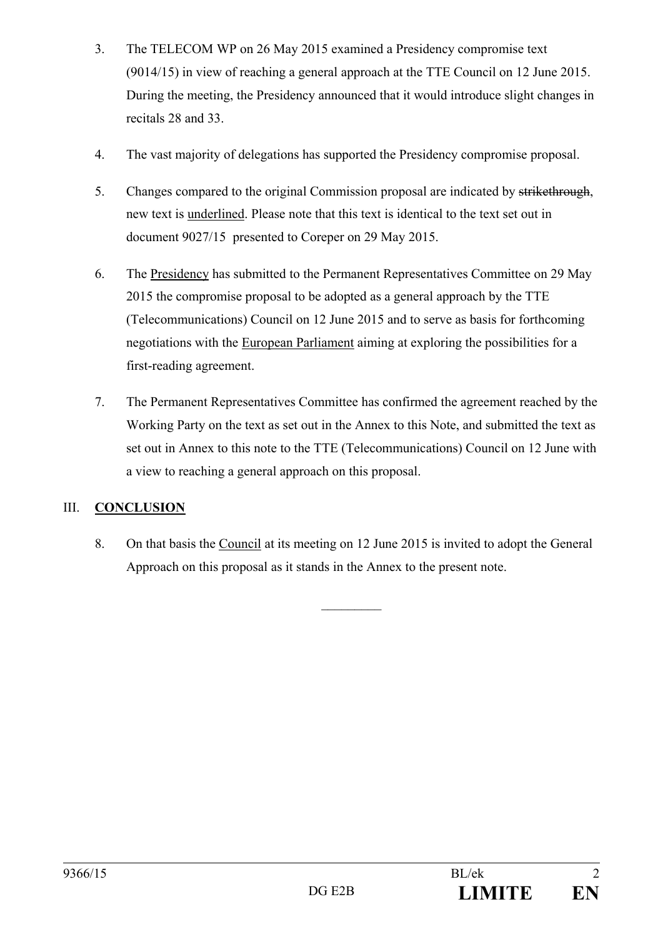- 3. The TELECOM WP on 26 May 2015 examined a Presidency compromise text (9014/15) in view of reaching a general approach at the TTE Council on 12 June 2015. During the meeting, the Presidency announced that it would introduce slight changes in recitals 28 and 33.
- 4. The vast majority of delegations has supported the Presidency compromise proposal.
- 5. Changes compared to the original Commission proposal are indicated by strikethrough, new text is underlined. Please note that this text is identical to the text set out in document 9027/15 presented to Coreper on 29 May 2015.
- 6. The Presidency has submitted to the Permanent Representatives Committee on 29 May 2015 the compromise proposal to be adopted as a general approach by the TTE (Telecommunications) Council on 12 June 2015 and to serve as basis for forthcoming negotiations with the European Parliament aiming at exploring the possibilities for a first-reading agreement.
- 7. The Permanent Representatives Committee has confirmed the agreement reached by the Working Party on the text as set out in the Annex to this Note, and submitted the text as set out in Annex to this note to the TTE (Telecommunications) Council on 12 June with a view to reaching a general approach on this proposal.

## III. **CONCLUSION**

8. On that basis the Council at its meeting on 12 June 2015 is invited to adopt the General Approach on this proposal as it stands in the Annex to the present note.

 $\frac{1}{2}$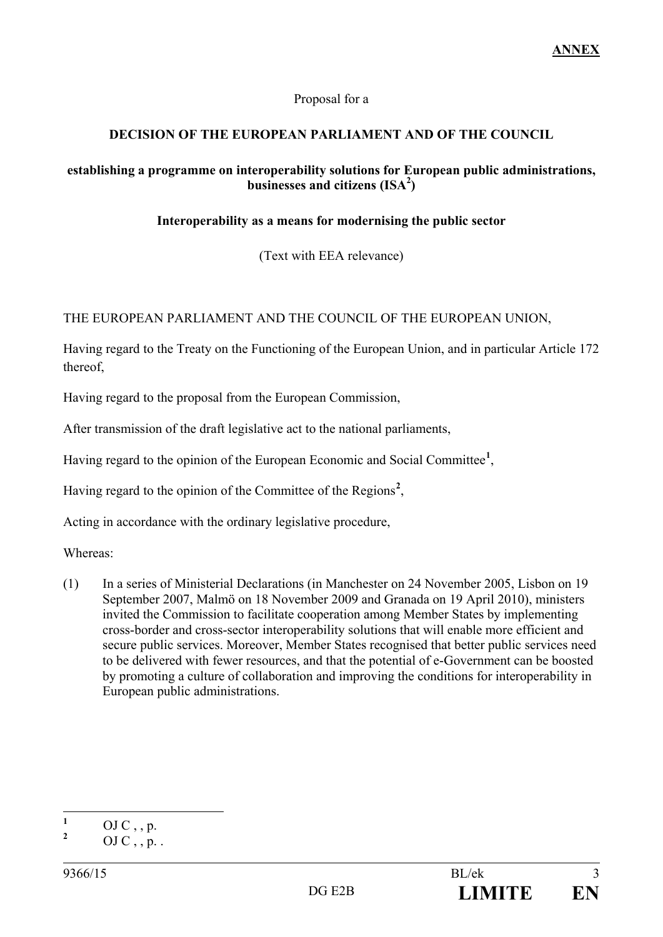## Proposal for a

## **DECISION OF THE EUROPEAN PARLIAMENT AND OF THE COUNCIL**

## **establishing a programme on interoperability solutions for European public administrations,**  businesses and citizens (ISA<sup>2</sup>)

## **Interoperability as a means for modernising the public sector**

(Text with EEA relevance)

## THE EUROPEAN PARLIAMENT AND THE COUNCIL OF THE EUROPEAN UNION,

Having regard to the Treaty on the Functioning of the European Union, and in particular Article 172 thereof,

Having regard to the proposal from the European Commission,

After transmission of the draft legislative act to the national parliaments,

Having regard to the opinion of the European Economic and Social Committee**[1](#page-2-0)** ,

Having regard to the opinion of the Committee of the Regions<sup>[2](#page-2-1)</sup>,

Acting in accordance with the ordinary legislative procedure,

Whereas:

(1) In a series of Ministerial Declarations (in Manchester on 24 November 2005, Lisbon on 19 September 2007, Malmö on 18 November 2009 and [Granada](http://www.eu2010.es/export/sites/presidencia/comun/descargas/Ministerios/en_declaracion_granada.pdf) on 19 April 2010), ministers invited the Commission to facilitate cooperation among Member States by implementing cross-border and cross-sector interoperability solutions that will enable more efficient and secure public services. Moreover, Member States recognised that better public services need to be delivered with fewer resources, and that the potential of e-Government can be boosted by promoting a culture of collaboration and improving the conditions for interoperability in European public administrations.

<span id="page-2-0"></span> $\frac{1}{2}$  OJ C, , p.

<span id="page-2-1"></span>**<sup>2</sup>** OJ C , , p. .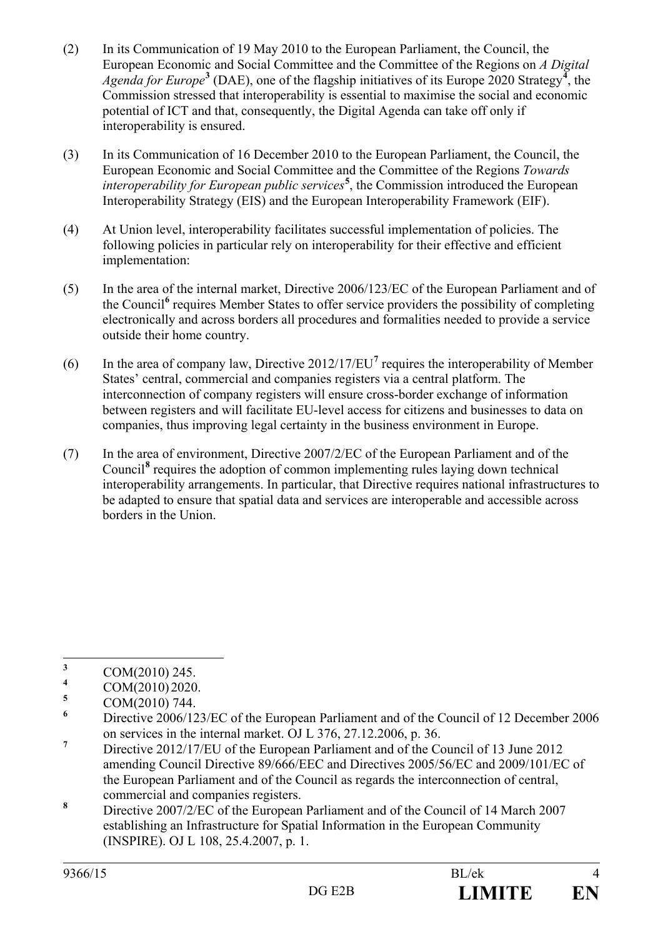- (2) In its Communication of 19 May 2010 to the European Parliament, the Council, the European Economic and Social Committee and the Committee of the Regions on *A Digital*  Agenda for Europe<sup>[3](#page-3-0)</sup> (DAE), one of the flagship initiatives of its Europe 2020 Strategy<sup>[4](#page-3-1)</sup>, the Commission stressed that interoperability is essential to maximise the social and economic potential of ICT and that, consequently, the Digital Agenda can take off only if interoperability is ensured.
- (3) In its [Communication of 16 December 2010 to the European Parliament, the Council, the](http://eur-lex.europa.eu/LexUriServ/LexUriServ.do?uri=COM:2010:0744:FIN:EN:PDF)  [European Economic and Social Committee and the Committee of the Regions](http://eur-lex.europa.eu/LexUriServ/LexUriServ.do?uri=COM:2010:0744:FIN:EN:PDF) *Towards [interoperability for European public services](http://eur-lex.europa.eu/LexUriServ/LexUriServ.do?uri=COM:2010:0744:FIN:EN:PDF)***[5](#page-3-2)** , the Commission introduced the European Interoperability Strategy (EIS) and the European Interoperability Framework (EIF).
- (4) At Union level, interoperability facilitates successful implementation of policies. The following policies in particular rely on interoperability for their effective and efficient implementation:
- (5) In the area of the internal market, Directive 2006/123/EC of the European Parliament and of the Council**[6](#page-3-3)** requires Member States to offer service providers the possibility of completing electronically and across borders all procedures and formalities needed to provide a service outside their home country.
- (6) In the area of company law, Directive 2012/17/EU**[7](#page-3-4)** requires the interoperability of Member States' central, commercial and companies registers via a central platform. The interconnection of company registers will ensure cross-border exchange of information between registers and will facilitate EU-level access for citizens and businesses to data on companies, thus improving legal certainty in the business environment in Europe.
- (7) In the area of environment, Directive 2007/2/EC of the European Parliament and of the Council**[8](#page-3-5)** requires the adoption of common implementing rules laying down technical interoperability arrangements. In particular, that Directive requires national infrastructures to be adapted to ensure that spatial data and services are interoperable and accessible across borders in the Union.

<span id="page-3-0"></span><sup>&</sup>lt;sup>3</sup> COM(2010) 245.

<span id="page-3-1"></span> $^{4}$  COM(2010) 2020.

<span id="page-3-2"></span> $\frac{5}{6}$  COM(2010) 744.

<span id="page-3-3"></span>**<sup>6</sup>** Directive 2006/123/EC of the European Parliament and of the Council of 12 December 2006 on services in the internal market. OJ L 376, 27.12.2006, p. 36.

<span id="page-3-4"></span><sup>&</sup>lt;sup>7</sup> Directive 2012/17/EU of the European Parliament and of the Council of 13 June 2012 amending Council Directive 89/666/EEC and Directives 2005/56/EC and 2009/101/EC of the European Parliament and of the Council as regards the interconnection of central,

<span id="page-3-5"></span>commercial and companies registers. **<sup>8</sup>** Directive 2007/2/EC of the European Parliament and of the Council of 14 March 2007 establishing an Infrastructure for Spatial Information in the European Community (INSPIRE). OJ L 108, 25.4.2007, p. 1.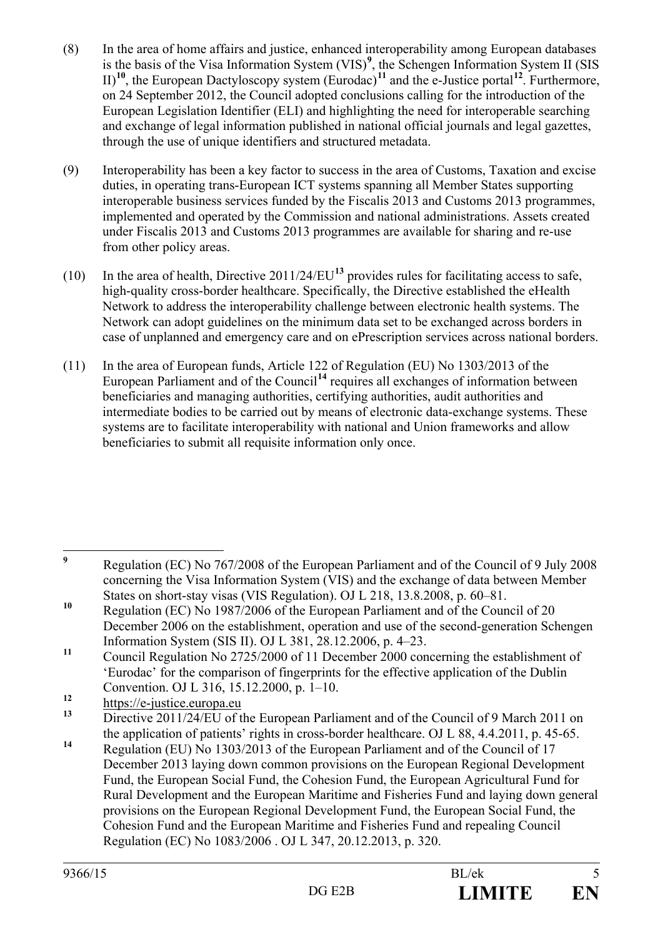- (8) In the area of home affairs and justice, enhanced interoperability among European databases is the basis of the Visa Information System (VIS)<sup>[9](#page-4-0)</sup>, the Schengen Information System II (SIS II)**[10](#page-4-1)**, the European Dactyloscopy system (Eurodac)**[11](#page-4-2)** and the e-Justice portal**[12](#page-4-3)**. Furthermore, on 24 September 2012, the Council adopted conclusions calling for the introduction of the European Legislation Identifier (ELI) and highlighting the need for interoperable searching and exchange of legal information published in national official journals and legal gazettes, through the use of unique identifiers and structured metadata.
- (9) Interoperability has been a key factor to success in the area of Customs, Taxation and excise duties, in operating trans-European ICT systems spanning all Member States supporting interoperable business services funded by the Fiscalis 2013 and Customs 2013 programmes, implemented and operated by the Commission and national administrations. Assets created under Fiscalis 2013 and Customs 2013 programmes are available for sharing and re-use from other policy areas.
- (10) In the area of health, Directive 2011/24/EU**[13](#page-4-4)** provides rules for facilitating access to safe, high-quality cross-border healthcare. Specifically, the Directive established the eHealth Network to address the interoperability challenge between electronic health systems. The Network can adopt guidelines on the minimum data set to be exchanged across borders in case of unplanned and emergency care and on ePrescription services across national borders.
- (11) In the area of European funds, Article 122 of Regulation (EU) No 1303/2013 of the European Parliament and of the Council<sup>[14](#page-4-5)</sup> requires all exchanges of information between beneficiaries and managing authorities, certifying authorities, audit authorities and intermediate bodies to be carried out by means of electronic data-exchange systems. These systems are to facilitate interoperability with national and Union frameworks and allow beneficiaries to submit all requisite information only once.

<span id="page-4-0"></span>**<sup>9</sup>** Regulation (EC) No 767/2008 of the European Parliament and of the Council of 9 July 2008 concerning the Visa Information System (VIS) and the exchange of data between Member States on short-stay visas (VIS Regulation). OJ L 218, 13.8.2008, p. 60–81.

<span id="page-4-1"></span><sup>&</sup>lt;sup>10</sup> Regulation (EC) No 1987/2006 of the European Parliament and of the Council of 20 December 2006 on the establishment, operation and use of the second-generation Schengen

<span id="page-4-2"></span>Information System (SIS II). OJ L 381, 28.12.2006, p. 4–23.<br>
Council Regulation No 2725/2000 of 11 December 2000 concerning the establishment of 'Eurodac' for the comparison of fingerprints for the effective application of the Dublin Convention. OJ L 316, 15.12.2000, p. 1–10.

<span id="page-4-3"></span><sup>&</sup>lt;sup>12</sup> [https://e-justice.europa.eu](https://e-justice.europa.eu/)

<span id="page-4-4"></span>**<sup>13</sup>** Directive 2011/24/EU of the European Parliament and of the Council of 9 March 2011 on the application of patients' rights in cross-border healthcare. OJ L 88, 4.4.2011, p. 45-65.

<span id="page-4-5"></span><sup>&</sup>lt;sup>14</sup> Regulation (EU) No 1303/2013 of the European Parliament and of the Council of 17 December 2013 laying down common provisions on the European Regional Development Fund, the European Social Fund, the Cohesion Fund, the European Agricultural Fund for Rural Development and the European Maritime and Fisheries Fund and laying down general provisions on the European Regional Development Fund, the European Social Fund, the Cohesion Fund and the European Maritime and Fisheries Fund and repealing Council Regulation (EC) No 1083/2006 . OJ L 347, 20.12.2013, p. 320.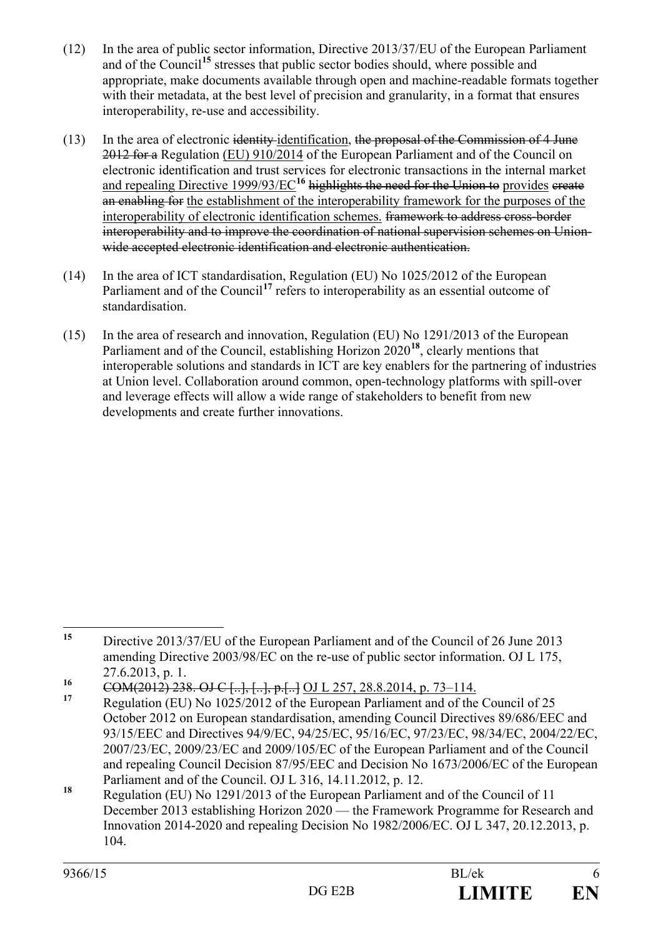- (12) In the area of public sector information, Directive 2013/37/EU of the European Parliament and of the Council**[15](#page-5-0)** stresses that public sector bodies should, where possible and appropriate, make documents available through open and machine-readable formats together with their metadata, at the best level of precision and granularity, in a format that ensures interoperability, re-use and accessibility.
- (13) In the area of electronic identity identification, the proposal of the Commission of 4 June 2012 for a Regulation (EU) 910/2014 of the European Parliament and of the Council on electronic identification and trust services for electronic transactions in the internal market and repealing Directive 1999/93/EC<sup>[16](#page-5-1)</sup> highlights the need for the Union to provides ereate an enabling for the establishment of the interoperability framework for the purposes of the interoperability of electronic identification schemes. framework to address cross-border interoperability and to improve the coordination of national supervision schemes on Unionwide accepted electronic identification and electronic authentication.
- (14) In the area of ICT standardisation, Regulation (EU) No 1025/2012 of the European Parliament and of the Council<sup>[17](#page-5-2)</sup> refers to interoperability as an essential outcome of standardisation.
- (15) In the area of research and innovation, Regulation (EU) No 1291/2013 of the European Parliament and of the Council, establishing Horizon 2020**[18](#page-5-3)**, clearly mentions that interoperable solutions and standards in ICT are key enablers for the partnering of industries at Union level. Collaboration around common, open-technology platforms with spill-over and leverage effects will allow a wide range of stakeholders to benefit from new developments and create further innovations.

<span id="page-5-0"></span>**<sup>15</sup>** Directive 2013/37/EU of the European Parliament and of the Council of 26 June 2013 amending Directive 2003/98/EC on the re-use of public sector information. OJ L 175, 27.6.2013, p. 1.

<span id="page-5-1"></span><sup>16</sup> COM(2012) 238. OJ C [..], [..], p.[..] OJ L 257, 28.8.2014, p. 73–114.

<span id="page-5-2"></span>**<sup>17</sup>** Regulation (EU) No 1025/2012 of the European Parliament and of the Council of 25 October 2012 on European standardisation, amending Council Directives 89/686/EEC and 93/15/EEC and Directives 94/9/EC, 94/25/EC, 95/16/EC, 97/23/EC, 98/34/EC, 2004/22/EC, 2007/23/EC, 2009/23/EC and 2009/105/EC of the European Parliament and of the Council and repealing Council Decision 87/95/EEC and Decision No 1673/2006/EC of the European Parliament and of the Council. OJ L 316, 14.11.2012, p. 12.

<span id="page-5-3"></span>**<sup>18</sup>** Regulation (EU) No 1291/2013 of the European Parliament and of the Council of 11 December 2013 establishing Horizon 2020 — the Framework Programme for Research and Innovation 2014-2020 and repealing Decision No 1982/2006/EC. OJ L 347, 20.12.2013, p. 104.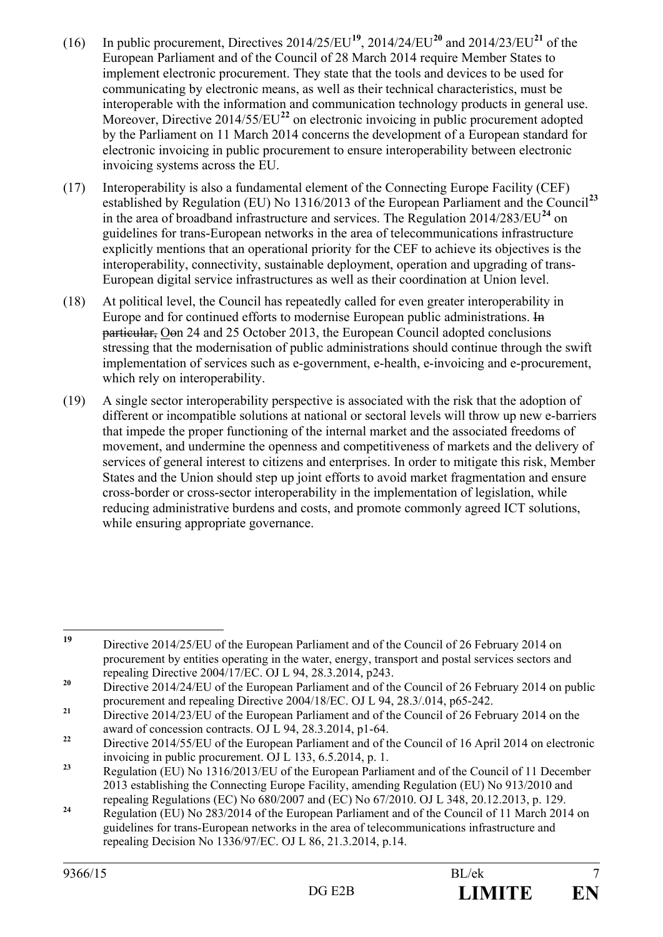- (16) In public procurement, Directives  $2014/25/EU^{19}$  $2014/25/EU^{19}$  $2014/25/EU^{19}$ ,  $2014/24/EU^{20}$  $2014/24/EU^{20}$  and  $2014/23/EU^{21}$  $2014/23/EU^{21}$  $2014/23/EU^{21}$  of the European Parliament and of the Council of 28 March 2014 require Member States to implement electronic procurement. They state that the tools and devices to be used for communicating by electronic means, as well as their technical characteristics, must be interoperable with the information and communication technology products in general use. Moreover, Directive 2014/55/EU<sup>[22](#page-6-3)</sup> on electronic invoicing in public procurement adopted by the Parliament on 11 March 2014 concerns the development of a European standard for electronic invoicing in public procurement to ensure interoperability between electronic invoicing systems across the EU.
- (17) Interoperability is also a fundamental element of the Connecting Europe Facility (CEF) established by Regulation (EU) No 1316/2013 of the European Parliament and the Council**[23](#page-6-4)** in the area of broadband infrastructure and services. The Regulation 2014/283/EU<sup>[24](#page-6-5)</sup> on guidelines for trans-European networks in the area of telecommunications infrastructure explicitly mentions that an operational priority for the CEF to achieve its objectives is the interoperability, connectivity, sustainable deployment, operation and upgrading of trans-European digital service infrastructures as well as their coordination at Union level.
- (18) At political level, the Council has repeatedly called for even greater interoperability in Europe and for continued efforts to modernise European public administrations. In particular, Oon 24 and 25 October 2013, the European Council adopted conclusions stressing that the modernisation of public administrations should continue through the swift implementation of services such as e-government, e-health, e-invoicing and e-procurement, which rely on interoperability.
- (19) A single sector interoperability perspective is associated with the risk that the adoption of different or incompatible solutions at national or sectoral levels will throw up new e-barriers that impede the proper functioning of the internal market and the associated freedoms of movement, and undermine the openness and competitiveness of markets and the delivery of services of general interest to citizens and enterprises. In order to mitigate this risk, Member States and the Union should step up joint efforts to avoid market fragmentation and ensure cross-border or cross-sector interoperability in the implementation of legislation, while reducing administrative burdens and costs, and promote commonly agreed ICT solutions, while ensuring appropriate governance.

<span id="page-6-0"></span>**<sup>19</sup>** Directive 2014/25/EU of the European Parliament and of the Council of 26 February 2014 on procurement by entities operating in the water, energy, transport and postal services sectors and repealing Directive 2004/17/EC. OJ L 94, 28.3.2014, p243.

<span id="page-6-1"></span><sup>&</sup>lt;sup>20</sup> Directive 2014/24/EU of the European Parliament and of the Council of 26 February 2014 on public procurement and repealing Directive 2004/18/EC. OJ L 94, 28.3/.014, p65-242.

<span id="page-6-2"></span><sup>&</sup>lt;sup>21</sup> Directive 2014/23/EU of the European Parliament and of the Council of 26 February 2014 on the award of concession contracts. OJ L 94, 28.3.2014, p1-64.

<span id="page-6-3"></span><sup>&</sup>lt;sup>22</sup> Directive 2014/55/EU of the European Parliament and of the Council of 16 April 2014 on electronic invoicing in public procurement. OJ L 133, 6.5.2014, p. 1.

<span id="page-6-4"></span><sup>&</sup>lt;sup>23</sup> Regulation (EU) No 1316/2013/EU of the European Parliament and of the Council of 11 December 2013 establishing the Connecting Europe Facility, amending Regulation (EU) No 913/2010 and repealing Regulations (EC) No 680/2007 and (EC) No 67/2010. OJ L 348, 20.12.2013, p. 129.

<span id="page-6-5"></span><sup>&</sup>lt;sup>24</sup> Regulation (EU) No 283/2014 of the European Parliament and of the Council of 11 March 2014 on guidelines for trans-European networks in the area of telecommunications infrastructure and repealing Decision No 1336/97/EC. OJ L 86, 21.3.2014, p.14.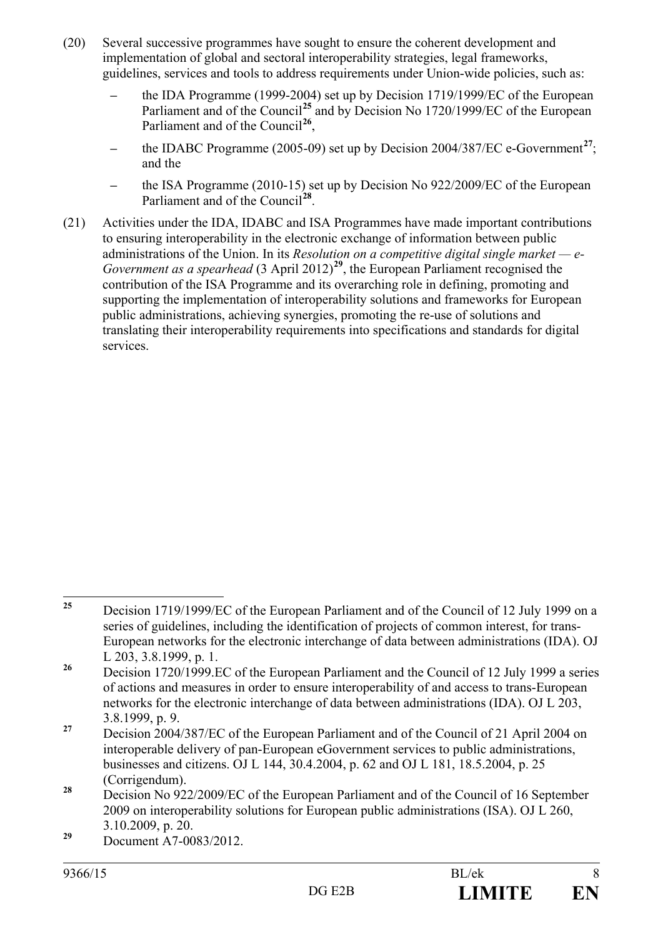- (20) Several successive programmes have sought to ensure the coherent development and implementation of global and sectoral interoperability strategies, legal frameworks, guidelines, services and tools to address requirements under Union-wide policies, such as:
	- **–** the IDA Programme (1999-2004) set up by Decision 1719/1999/EC of the European Parliament and of the Council<sup>[25](#page-7-0)</sup> and by Decision No 1720/1999/EC of the European Parliament and of the Council**[26](#page-7-1)**,
	- **–** the IDABC Programme (2005-09) set up by Decision 2004/387/EC e-Government**[27](#page-7-2)**; and the
	- **–** the ISA Programme (2010-15) set up by Decision No 922/2009/EC of the European Parliament and of the Council**[28](#page-7-3)**.
- (21) Activities under the IDA, IDABC and ISA Programmes have made important contributions to ensuring interoperability in the electronic exchange of information between public administrations of the Union. In its *Resolution on a competitive digital single market — e-Government as a spearhead* (3 April 2012)**[29](#page-7-4)**, the European Parliament recognised the contribution of the ISA Programme and its overarching role in defining, promoting and supporting the implementation of interoperability solutions and frameworks for European public administrations, achieving synergies, promoting the re-use of solutions and translating their interoperability requirements into specifications and standards for digital services.

<span id="page-7-0"></span><sup>&</sup>lt;sup>25</sup> Decision 1719/1999/EC of the European Parliament and of the Council of 12 July 1999 on a series of guidelines, including the identification of projects of common interest, for trans-European networks for the electronic interchange of data between administrations (IDA). OJ L 203, 3.8.1999, p. 1.

<span id="page-7-1"></span><sup>&</sup>lt;sup>26</sup> Decision 1720/1999.EC of the European Parliament and the Council of 12 July 1999 a series of actions and measures in order to ensure interoperability of and access to trans-European networks for the electronic interchange of data between administrations (IDA). OJ L 203,

<span id="page-7-2"></span><sup>3.8.1999,</sup> p. 9. **<sup>27</sup>** Decision 2004/387/EC of the European Parliament and of the Council of 21 April 2004 on interoperable delivery of pan-European eGovernment services to public administrations, businesses and citizens. OJ L 144, 30.4.2004, p. 62 and OJ L 181, 18.5.2004, p. 25 (Corrigendum).

<span id="page-7-3"></span>**<sup>28</sup>** Decision No 922/2009/EC of the European Parliament and of the Council of 16 September 2009 on interoperability solutions for European public administrations (ISA). OJ L 260, 3.10.2009, p. 20.

<span id="page-7-4"></span>**<sup>29</sup>** Document A7-0083/2012.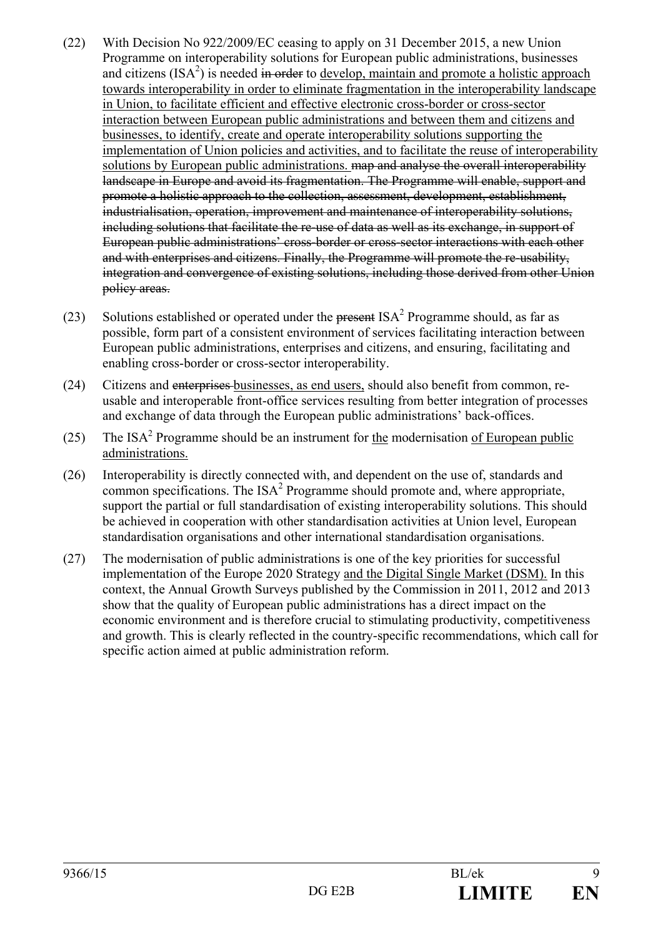- (22) With Decision No 922/2009/EC ceasing to apply on 31 December 2015, a new Union Programme on interoperability solutions for European public administrations, businesses and citizens  $(ISA^2)$  is needed in order to develop, maintain and promote a holistic approach towards interoperability in order to eliminate fragmentation in the interoperability landscape in Union, to facilitate efficient and effective electronic cross-border or cross-sector interaction between European public administrations and between them and citizens and businesses, to identify, create and operate interoperability solutions supporting the implementation of Union policies and activities, and to facilitate the reuse of interoperability solutions by European public administrations. map and analyse the overall interoperability landscape in Europe and avoid its fragmentation. The Programme will enable, support and promote a holistic approach to the collection, assessment, development, establishment, industrialisation, operation, improvement and maintenance of interoperability solutions, including solutions that facilitate the re-use of data as well as its exchange, in support of European public administrations' cross-border or cross-sector interactions with each other and with enterprises and citizens. Finally, the Programme will promote the re-usability, integration and convergence of existing solutions, including those derived from other Union policy areas.
- (23) Solutions established or operated under the present  $ISA<sup>2</sup>$  Programme should, as far as possible, form part of a consistent environment of services facilitating interaction between European public administrations, enterprises and citizens, and ensuring, facilitating and enabling cross-border or cross-sector interoperability.
- (24) Citizens and enterprises businesses, as end users, should also benefit from common, reusable and interoperable front-office services resulting from better integration of processes and exchange of data through the European public administrations' back-offices.
- (25) The ISA<sup>2</sup> Programme should be an instrument for the modernisation of European public administrations.
- (26) Interoperability is directly connected with, and dependent on the use of, standards and common specifications. The  $ISA<sup>2</sup>$  Programme should promote and, where appropriate, support the partial or full standardisation of existing interoperability solutions. This should be achieved in cooperation with other standardisation activities at Union level, European standardisation organisations and other international standardisation organisations.
- (27) The modernisation of public administrations is one of the key priorities for successful implementation of the Europe 2020 Strategy and the Digital Single Market (DSM). In this context, the Annual Growth Surveys published by the Commission in 2011, 2012 and 2013 show that the quality of European public administrations has a direct impact on the economic environment and is therefore crucial to stimulating productivity, competitiveness and growth. This is clearly reflected in the country-specific recommendations, which call for specific action aimed at public administration reform.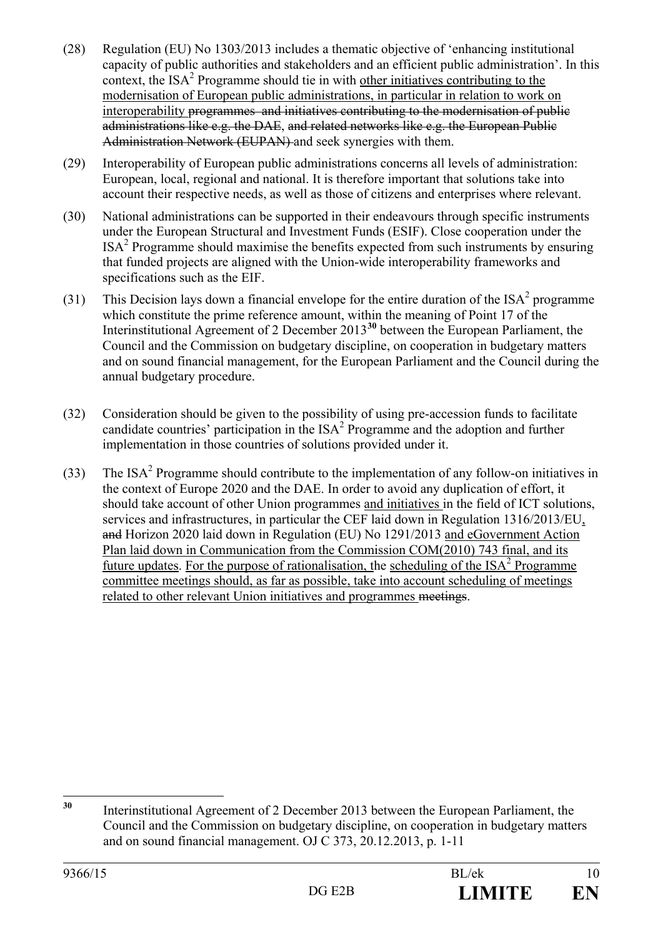- (28) Regulation (EU) No 1303/2013 includes a thematic objective of 'enhancing institutional capacity of public authorities and stakeholders and an efficient public administration'. In this context, the  $ISA<sup>2</sup>$  Programme should tie in with other initiatives contributing to the modernisation of European public administrations, in particular in relation to work on interoperability programmes and initiatives contributing to the modernisation of public administrations like e.g. the DAE, and related networks like e.g. the European Public Administration Network (EUPAN) and seek synergies with them.
- (29) Interoperability of European public administrations concerns all levels of administration: European, local, regional and national. It is therefore important that solutions take into account their respective needs, as well as those of citizens and enterprises where relevant.
- (30) National administrations can be supported in their endeavours through specific instruments under the European Structural and Investment Funds (ESIF). Close cooperation under the ISA2 Programme should maximise the benefits expected from such instruments by ensuring that funded projects are aligned with the Union-wide interoperability frameworks and specifications such as the EIF.
- (31) This Decision lays down a financial envelope for the entire duration of the  $ISA<sup>2</sup>$  programme which constitute the prime reference amount, within the meaning of Point 17 of the Interinstitutional Agreement of 2 December 2013**[30](#page-9-0)** between the European Parliament, the Council and the Commission on budgetary discipline, on cooperation in budgetary matters and on sound financial management, for the European Parliament and the Council during the annual budgetary procedure.
- (32) Consideration should be given to the possibility of using pre-accession funds to facilitate candidate countries' participation in the  $ISA<sup>2</sup>$  Programme and the adoption and further implementation in those countries of solutions provided under it.
- (33) The ISA<sup>2</sup> Programme should contribute to the implementation of any follow-on initiatives in the context of Europe 2020 and the DAE. In order to avoid any duplication of effort, it should take account of other Union programmes and initiatives in the field of ICT solutions, services and infrastructures, in particular the CEF laid down in Regulation 1316/2013/EU, and Horizon 2020 laid down in Regulation (EU) No 1291/2013 and eGovernment Action Plan laid down in Communication from the Commission COM(2010) 743 final, and its future updates. For the purpose of rationalisation, the scheduling of the  $ISA<sup>2</sup>$  Programme committee meetings should, as far as possible, take into account scheduling of meetings related to other relevant Union initiatives and programmes meetings.

<span id="page-9-0"></span>**<sup>30</sup>** Interinstitutional Agreement of 2 December 2013 between the European Parliament, the Council and the Commission on budgetary discipline, on cooperation in budgetary matters and on sound financial management. OJ C 373, 20.12.2013, p. 1-11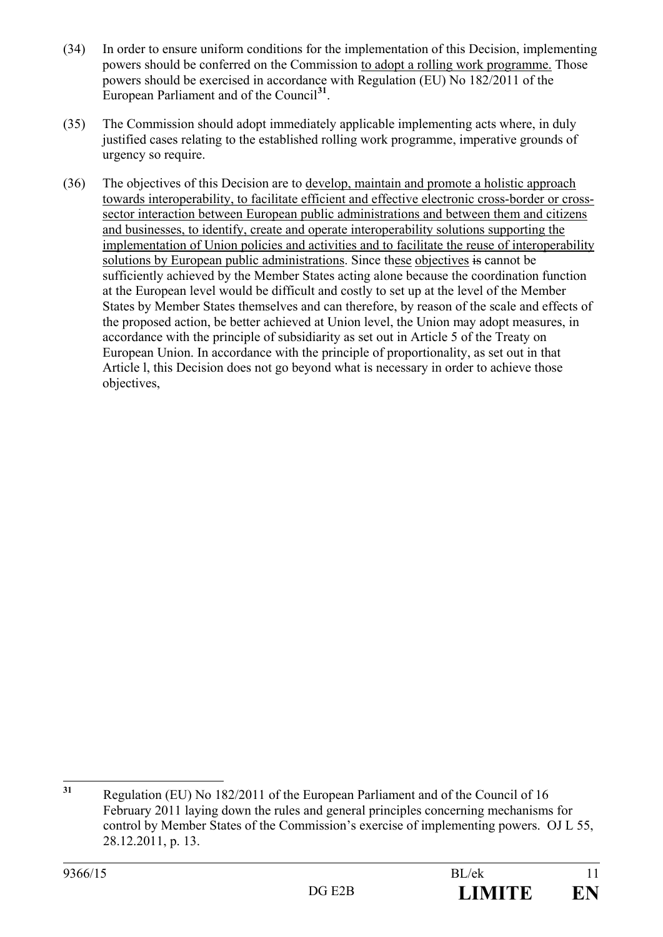- (34) In order to ensure uniform conditions for the implementation of this Decision, implementing powers should be conferred on the Commission to adopt a rolling work programme. Those powers should be exercised in accordance with Regulation (EU) No 182/2011 of the European Parliament and of the Council**[31](#page-10-0)**.
- (35) The Commission should adopt immediately applicable implementing acts where, in duly justified cases relating to the established rolling work programme, imperative grounds of urgency so require.
- (36) The objectives of this Decision are to develop, maintain and promote a holistic approach towards interoperability, to facilitate efficient and effective electronic cross-border or crosssector interaction between European public administrations and between them and citizens and businesses, to identify, create and operate interoperability solutions supporting the implementation of Union policies and activities and to facilitate the reuse of interoperability solutions by European public administrations. Since these objectives is cannot be sufficiently achieved by the Member States acting alone because the coordination function at the European level would be difficult and costly to set up at the level of the Member States by Member States themselves and can therefore, by reason of the scale and effects of the proposed action, be better achieved at Union level, the Union may adopt measures, in accordance with the principle of subsidiarity as set out in Article 5 of the Treaty on European Union. In accordance with the principle of proportionality, as set out in that Article l, this Decision does not go beyond what is necessary in order to achieve those objectives,

<span id="page-10-0"></span>**<sup>31</sup>** Regulation (EU) No 182/2011 of the European Parliament and of the Council of 16 February 2011 laying down the rules and general principles concerning mechanisms for control by Member States of the Commission's exercise of implementing powers. OJ L 55, 28.12.2011, p. 13.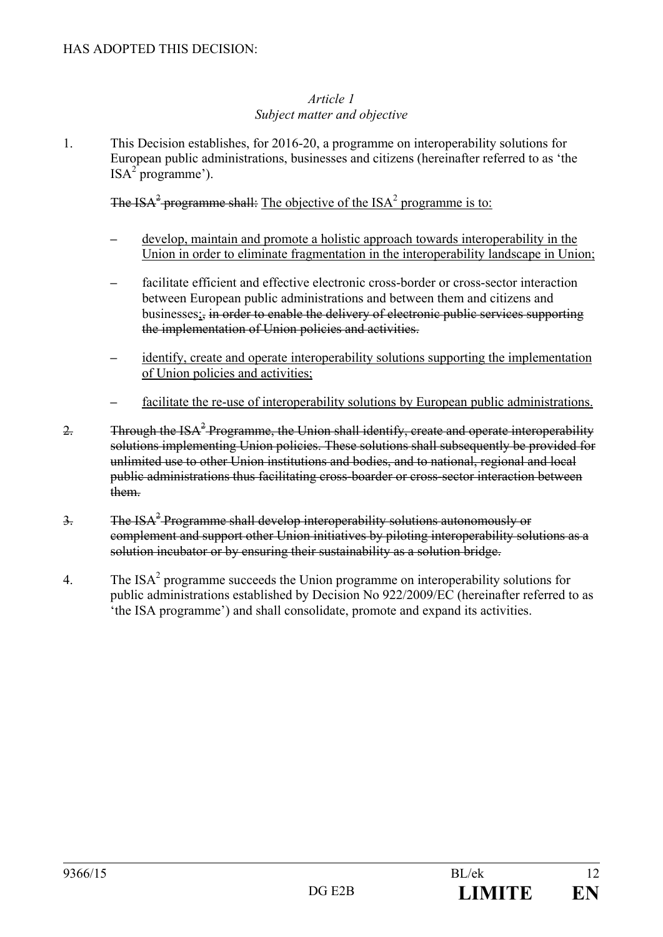#### *Article 1 Subject matter and objective*

1. This Decision establishes, for 2016-20, a programme on interoperability solutions for European public administrations, businesses and citizens (hereinafter referred to as 'the  $ISA<sup>2</sup>$  programme').

The ISA<sup>2</sup> programme shall: The objective of the ISA<sup>2</sup> programme is to:

- **–** develop, maintain and promote a holistic approach towards interoperability in the Union in order to eliminate fragmentation in the interoperability landscape in Union;
- **–** facilitate efficient and effective electronic cross-border or cross-sector interaction between European public administrations and between them and citizens and businesses;, in order to enable the delivery of electronic public services supporting the implementation of Union policies and activities.
- **–** identify, create and operate interoperability solutions supporting the implementation of Union policies and activities;
- **–** facilitate the re-use of interoperability solutions by European public administrations.
- 2. Through the ISA<sup>2</sup> Programme, the Union shall identify, create and operate interoperability solutions implementing Union policies. These solutions shall subsequently be provided for unlimited use to other Union institutions and bodies, and to national, regional and local public administrations thus facilitating cross-boarder or cross-sector interaction between them.
- $\frac{3}{2}$  The ISA<sup>2</sup> Programme shall develop interoperability solutions autonomously or complement and support other Union initiatives by piloting interoperability solutions as a solution incubator or by ensuring their sustainability as a solution bridge.
- 4. The ISA<sup>2</sup> programme succeeds the Union programme on interoperability solutions for public administrations established by Decision No 922/2009/EC (hereinafter referred to as 'the ISA programme') and shall consolidate, promote and expand its activities.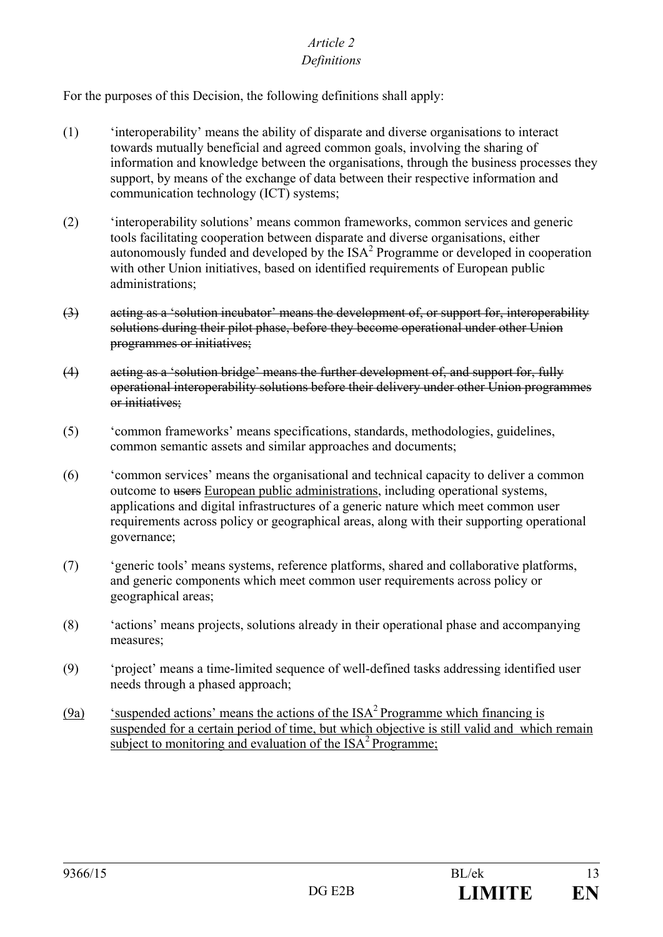## *Article 2*

## *Definitions*

For the purposes of this Decision, the following definitions shall apply:

- (1) 'interoperability' means the ability of disparate and diverse organisations to interact towards mutually beneficial and agreed common goals, involving the sharing of information and knowledge between the organisations, through the business processes they support, by means of the exchange of data between their respective information and communication technology (ICT) systems;
- (2) 'interoperability solutions' means common frameworks, common services and generic tools facilitating cooperation between disparate and diverse organisations, either autonomously funded and developed by the ISA2 Programme or developed in cooperation with other Union initiatives, based on identified requirements of European public administrations;
- (3) acting as a 'solution incubator' means the development of, or support for, interoperability solutions during their pilot phase, before they become operational under other Union programmes or initiatives;
- (4) acting as a 'solution bridge' means the further development of, and support for, fully operational interoperability solutions before their delivery under other Union programmes or initiatives;
- (5) 'common frameworks' means specifications, standards, methodologies, guidelines, common semantic assets and similar approaches and documents;
- (6) 'common services' means the organisational and technical capacity to deliver a common outcome to users European public administrations, including operational systems, applications and digital infrastructures of a generic nature which meet common user requirements across policy or geographical areas, along with their supporting operational governance;
- (7) 'generic tools' means systems, reference platforms, shared and collaborative platforms, and generic components which meet common user requirements across policy or geographical areas;
- (8) 'actions' means projects, solutions already in their operational phase and accompanying measures;
- (9) 'project' means a time-limited sequence of well-defined tasks addressing identified user needs through a phased approach;
- (9a) 'suspended actions' means the actions of the  $ISA<sup>2</sup>$  Programme which financing is suspended for a certain period of time, but which objective is still valid and which remain subject to monitoring and evaluation of the  $ISA<sup>2</sup>$  Programme;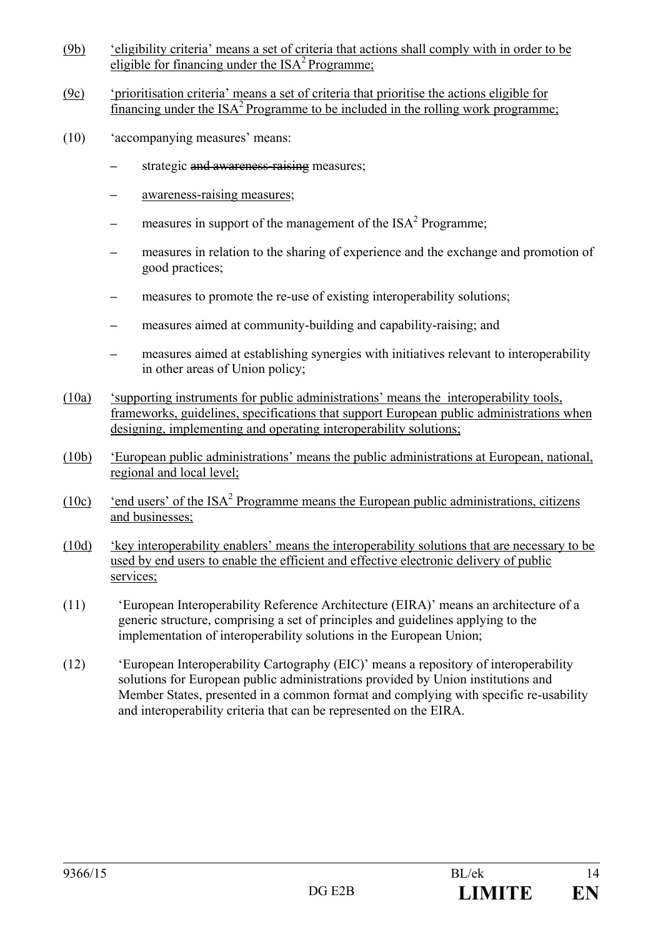- (9b) 'eligibility criteria' means a set of criteria that actions shall comply with in order to be eligible for financing under the  $ISA<sup>2</sup>$  Programme;
- (9c) 'prioritisation criteria' means a set of criteria that prioritise the actions eligible for financing under the  $ISA^2$  Programme to be included in the rolling work programme;
- (10) 'accompanying measures' means:
	- **–** strategic and awareness-raising measures;
	- **–** awareness-raising measures;
	- **–** measures in support of the management of the ISA2 Programme;
	- **–** measures in relation to the sharing of experience and the exchange and promotion of good practices;
	- **–** measures to promote the re-use of existing interoperability solutions;
	- **–** measures aimed at community-building and capability-raising; and
	- **–** measures aimed at establishing synergies with initiatives relevant to interoperability in other areas of Union policy;
- (10a) 'supporting instruments for public administrations' means the interoperability tools, frameworks, guidelines, specifications that support European public administrations when designing, implementing and operating interoperability solutions;
- (10b) 'European public administrations' means the public administrations at European, national, regional and local level;
- (10c) 'end users' of the  $ISA^2$  Programme means the European public administrations, citizens and businesses;
- (10d) 'key interoperability enablers' means the interoperability solutions that are necessary to be used by end users to enable the efficient and effective electronic delivery of public services;
- (11) 'European Interoperability Reference Architecture (EIRA)' means an architecture of a generic structure, comprising a set of principles and guidelines applying to the implementation of interoperability solutions in the European Union;
- (12) 'European Interoperability Cartography (EIC)' means a repository of interoperability solutions for European public administrations provided by Union institutions and Member States, presented in a common format and complying with specific re-usability and interoperability criteria that can be represented on the EIRA.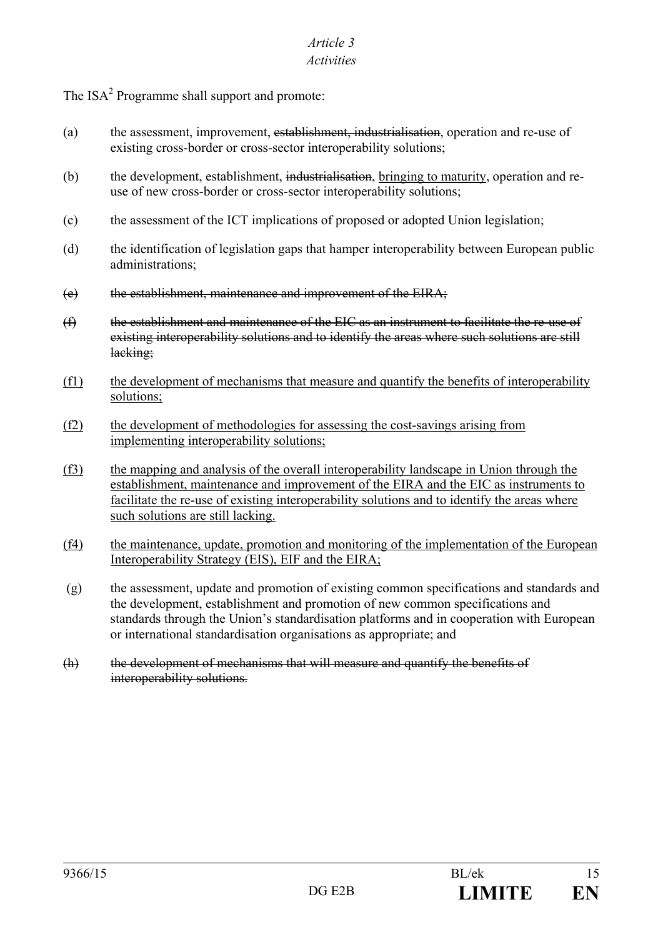## *Article 3*

## *Activities*

The ISA<sup>2</sup> Programme shall support and promote:

- (a) the assessment, improvement, establishment, industrialisation, operation and re-use of existing cross-border or cross-sector interoperability solutions;
- (b) the development, establishment, industrialisation, bringing to maturity, operation and reuse of new cross-border or cross-sector interoperability solutions;
- (c) the assessment of the ICT implications of proposed or adopted Union legislation;
- (d) the identification of legislation gaps that hamper interoperability between European public administrations;
- (e) the establishment, maintenance and improvement of the EIRA;
- (f) the establishment and maintenance of the EIC as an instrument to facilitate the re-use of existing interoperability solutions and to identify the areas where such solutions are still lacking;
- (f1) the development of mechanisms that measure and quantify the benefits of interoperability solutions;
- (f2) the development of methodologies for assessing the cost-savings arising from implementing interoperability solutions;
- (f3) the mapping and analysis of the overall interoperability landscape in Union through the establishment, maintenance and improvement of the EIRA and the EIC as instruments to facilitate the re-use of existing interoperability solutions and to identify the areas where such solutions are still lacking.
- (f4) the maintenance, update, promotion and monitoring of the implementation of the European Interoperability Strategy (EIS), EIF and the EIRA;
- (g) the assessment, update and promotion of existing common specifications and standards and the development, establishment and promotion of new common specifications and standards through the Union's standardisation platforms and in cooperation with European or international standardisation organisations as appropriate; and
- (h) the development of mechanisms that will measure and quantify the benefits of interoperability solutions.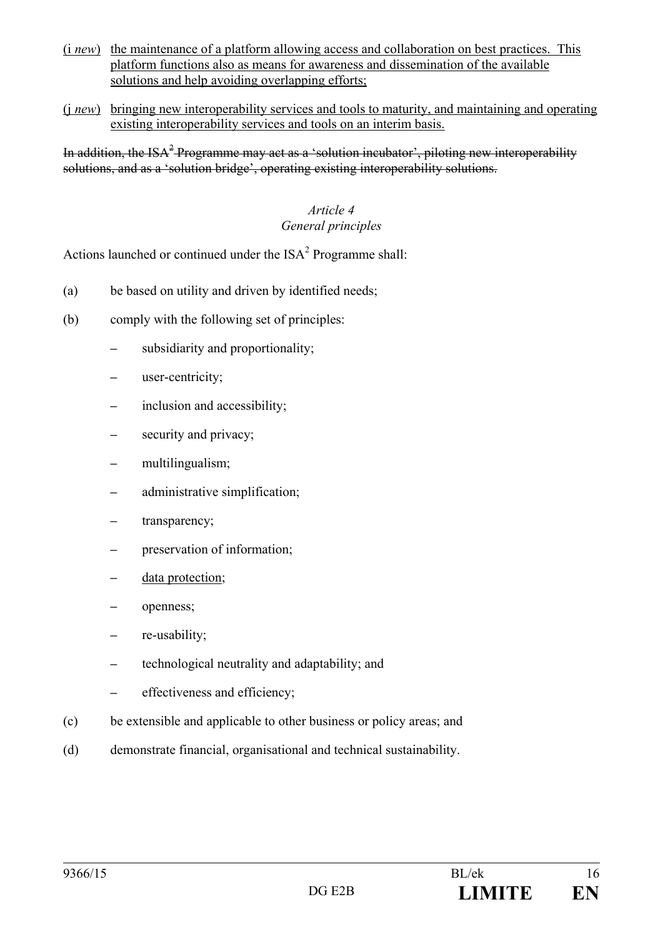- (i *new*) the maintenance of a platform allowing access and collaboration on best practices. This platform functions also as means for awareness and dissemination of the available solutions and help avoiding overlapping efforts;
- (j *new*) bringing new interoperability services and tools to maturity, and maintaining and operating existing interoperability services and tools on an interim basis.

In addition, the ISA<sup> $2$ </sup> Programme may act as a 'solution incubator', piloting new interoperability solutions, and as a 'solution bridge', operating existing interoperability solutions.

## *Article 4 General principles*

Actions launched or continued under the  $ISA<sup>2</sup>$  Programme shall:

- (a) be based on utility and driven by identified needs;
- (b) comply with the following set of principles:
	- **–** subsidiarity and proportionality;
	- **–** user-centricity;
	- **–** inclusion and accessibility;
	- **–** security and privacy;
	- **–** multilingualism;
	- **–** administrative simplification;
	- **–** transparency;
	- **–** preservation of information;
	- **–** data protection;
	- **–** openness;
	- **–** re-usability;
	- **–** technological neutrality and adaptability; and
	- **–** effectiveness and efficiency;
- (c) be extensible and applicable to other business or policy areas; and
- (d) demonstrate financial, organisational and technical sustainability.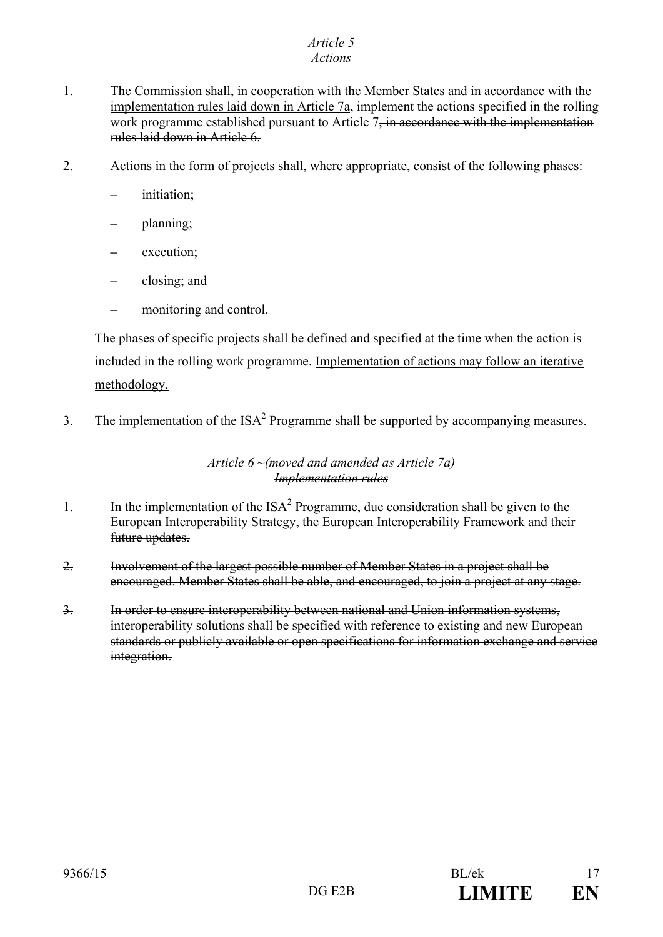# *Article 5*

## *Actions*

- 1. The Commission shall, in cooperation with the Member States and in accordance with the implementation rules laid down in Article 7a, implement the actions specified in the rolling work programme established pursuant to Article 7<del>, in accordance with the implementation</del> rules laid down in Article 6.
- 2. Actions in the form of projects shall, where appropriate, consist of the following phases:
	- **–** initiation;
	- **–** planning;
	- **–** execution;
	- **–** closing; and
	- **–** monitoring and control.

The phases of specific projects shall be defined and specified at the time when the action is included in the rolling work programme. Implementation of actions may follow an iterative methodology.

3. The implementation of the  $ISA^2$  Programme shall be supported by accompanying measures.

#### *Article 6 ~(moved and amended as Article 7a) Implementation rules*

- 1. In the implementation of the  $ISA^2$  Programme, due consideration shall be given to the European Interoperability Strategy, the European Interoperability Framework and their future updates.
- 2. Involvement of the largest possible number of Member States in a project shall be encouraged. Member States shall be able, and encouraged, to join a project at any stage.
- 3. In order to ensure interoperability between national and Union information systems, interoperability solutions shall be specified with reference to existing and new European standards or publicly available or open specifications for information exchange and service integration.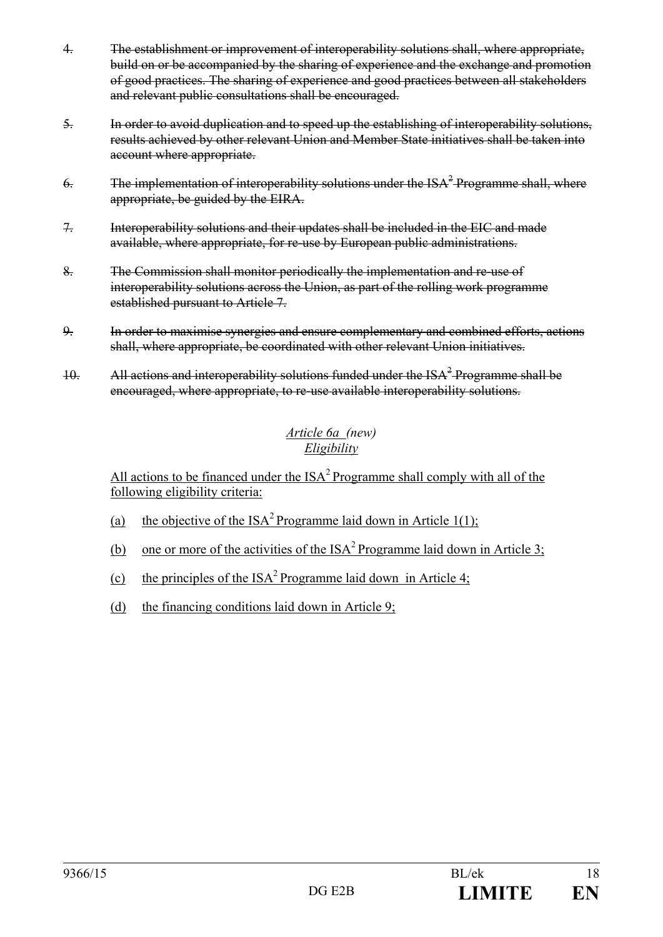- 4. The establishment or improvement of interoperability solutions shall, where appropriate, build on or be accompanied by the sharing of experience and the exchange and promotion of good practices. The sharing of experience and good practices between all stakeholders and relevant public consultations shall be encouraged.
- 5. In order to avoid duplication and to speed up the establishing of interoperability solutions, results achieved by other relevant Union and Member State initiatives shall be taken into account where appropriate.
- 6. The implementation of interoperability solutions under the  $ISA^2$ -Programme shall, where appropriate, be guided by the EIRA.
- 7. Interoperability solutions and their updates shall be included in the EIC and made available, where appropriate, for re-use by European public administrations.
- 8. The Commission shall monitor periodically the implementation and re-use of interoperability solutions across the Union, as part of the rolling work programme established pursuant to Article 7.
- 9. In order to maximise synergies and ensure complementary and combined efforts, actions shall, where appropriate, be coordinated with other relevant Union initiatives.
- 10. All actions and interoperability solutions funded under the  $ISA^2$ -Programme shall be encouraged, where appropriate, to re-use available interoperability solutions.

## *Article 6a (new) Eligibility*

All actions to be financed under the  $ISA<sup>2</sup>$  Programme shall comply with all of the following eligibility criteria:

- (a) the objective of the  $ISA^2$  Programme laid down in Article 1(1);
- (b) one or more of the activities of the  $ISA<sup>2</sup>$  Programme laid down in Article 3;
- (c) the principles of the  $ISA^2$  Programme laid down in Article 4;
- (d) the financing conditions laid down in Article 9;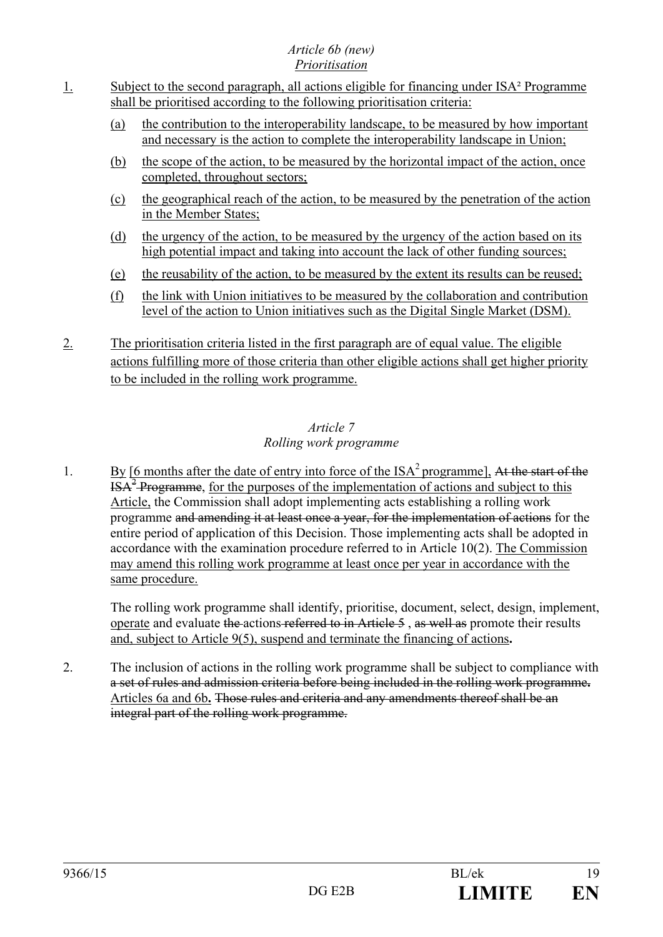## *Article 6b (new) Prioritisation*

- 1. Subject to the second paragraph, all actions eligible for financing under ISA² Programme shall be prioritised according to the following prioritisation criteria:
	- (a) the contribution to the interoperability landscape, to be measured by how important and necessary is the action to complete the interoperability landscape in Union;
	- (b) the scope of the action, to be measured by the horizontal impact of the action, once completed, throughout sectors;
	- (c) the geographical reach of the action, to be measured by the penetration of the action in the Member States;
	- (d) the urgency of the action, to be measured by the urgency of the action based on its high potential impact and taking into account the lack of other funding sources;
	- (e) the reusability of the action, to be measured by the extent its results can be reused;
	- (f) the link with Union initiatives to be measured by the collaboration and contribution level of the action to Union initiatives such as the Digital Single Market (DSM).
- 2. The prioritisation criteria listed in the first paragraph are of equal value. The eligible actions fulfilling more of those criteria than other eligible actions shall get higher priority to be included in the rolling work programme.

## *Article 7 Rolling work programme*

1. By [6 months after the date of entry into force of the  $ISA^2$  programme]. At the start of the  $\text{ISA}^2$ -Programme, for the purposes of the implementation of actions and subject to this Article, the Commission shall adopt implementing acts establishing a rolling work programme and amending it at least once a year, for the implementation of actions for the entire period of application of this Decision. Those implementing acts shall be adopted in accordance with the examination procedure referred to in Article 10(2). The Commission may amend this rolling work programme at least once per year in accordance with the same procedure.

The rolling work programme shall identify, prioritise, document, select, design, implement, operate and evaluate the actions referred to in Article 5 , as well as promote their results and, subject to Article 9(5), suspend and terminate the financing of actions**.**

2. The inclusion of actions in the rolling work programme shall be subject to compliance with a set of rules and admission criteria before being included in the rolling work programme**.** Articles 6a and 6b**.** Those rules and criteria and any amendments thereof shall be an integral part of the rolling work programme.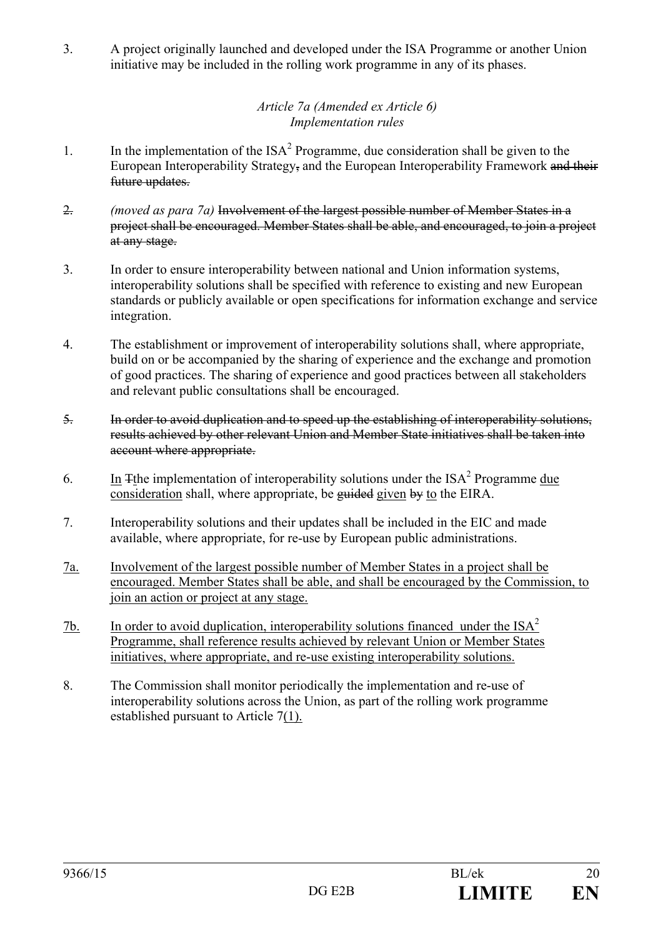3. A project originally launched and developed under the ISA Programme or another Union initiative may be included in the rolling work programme in any of its phases.

## *Article 7a (Amended ex Article 6) Implementation rules*

- 1. In the implementation of the  $ISA^2$  Programme, due consideration shall be given to the European Interoperability Strategy, and the European Interoperability Framework and their future updates.
- 2. *(moved as para 7a)* Involvement of the largest possible number of Member States in a project shall be encouraged. Member States shall be able, and encouraged, to join a project at any stage.
- 3. In order to ensure interoperability between national and Union information systems, interoperability solutions shall be specified with reference to existing and new European standards or publicly available or open specifications for information exchange and service integration.
- 4. The establishment or improvement of interoperability solutions shall, where appropriate, build on or be accompanied by the sharing of experience and the exchange and promotion of good practices. The sharing of experience and good practices between all stakeholders and relevant public consultations shall be encouraged.
- 5. In order to avoid duplication and to speed up the establishing of interoperability solutions, results achieved by other relevant Union and Member State initiatives shall be taken into account where appropriate.
- 6. In Tthe implementation of interoperability solutions under the  $ISA<sup>2</sup>$  Programme due consideration shall, where appropriate, be guided given by to the EIRA.
- 7. Interoperability solutions and their updates shall be included in the EIC and made available, where appropriate, for re-use by European public administrations.
- 7a. Involvement of the largest possible number of Member States in a project shall be encouraged. Member States shall be able, and shall be encouraged by the Commission, to join an action or project at any stage.
- 7b. In order to avoid duplication, interoperability solutions financed under the  $ISA<sup>2</sup>$ Programme, shall reference results achieved by relevant Union or Member States initiatives, where appropriate, and re-use existing interoperability solutions.
- 8. The Commission shall monitor periodically the implementation and re-use of interoperability solutions across the Union, as part of the rolling work programme established pursuant to Article 7(1).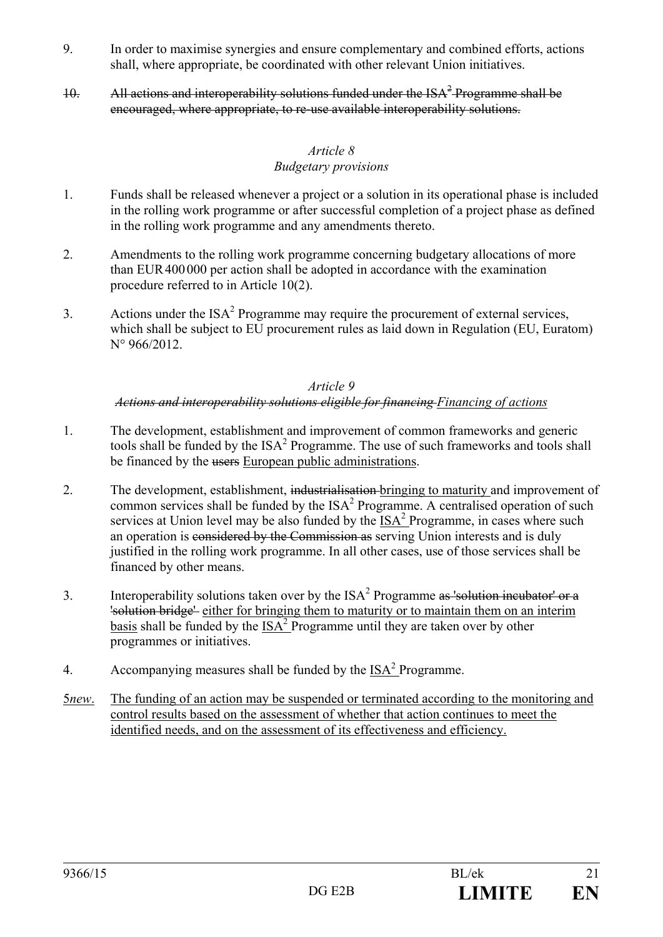- 9. In order to maximise synergies and ensure complementary and combined efforts, actions shall, where appropriate, be coordinated with other relevant Union initiatives.
- 10. All actions and interoperability solutions funded under the  $ISA^2$  Programme shall be encouraged, where appropriate, to re-use available interoperability solutions.

## *Article 8 Budgetary provisions*

- 1. Funds shall be released whenever a project or a solution in its operational phase is included in the rolling work programme or after successful completion of a project phase as defined in the rolling work programme and any amendments thereto.
- 2. Amendments to the rolling work programme concerning budgetary allocations of more than EUR400000 per action shall be adopted in accordance with the examination procedure referred to in Article 10(2).
- 3. Actions under the  $ISA^2$  Programme may require the procurement of external services, which shall be subject to EU procurement rules as laid down in Regulation (EU, Euratom) N° 966/2012.

#### *Article 9 Actions and interoperability solutions eligible for financing Financing of actions*

- 1. The development, establishment and improvement of common frameworks and generic tools shall be funded by the  $ISA^2$  Programme. The use of such frameworks and tools shall be financed by the users European public administrations.
- 2. The development, establishment, industrialisation bringing to maturity and improvement of common services shall be funded by the  $ISA<sup>2</sup>$  Programme. A centralised operation of such services at Union level may be also funded by the  $ISA<sup>2</sup>$  Programme, in cases where such an operation is considered by the Commission as serving Union interests and is duly justified in the rolling work programme. In all other cases, use of those services shall be financed by other means.
- 3. Interoperability solutions taken over by the  $ISA<sup>2</sup>$  Programme as 'solution incubator' or a 'solution bridge' either for bringing them to maturity or to maintain them on an interim basis shall be funded by the  $ISA^2$  Programme until they are taken over by other programmes or initiatives.
- 4. Accompanying measures shall be funded by the  $ISA<sup>2</sup>$  Programme.
- 5*new*. The funding of an action may be suspended or terminated according to the monitoring and control results based on the assessment of whether that action continues to meet the identified needs, and on the assessment of its effectiveness and efficiency.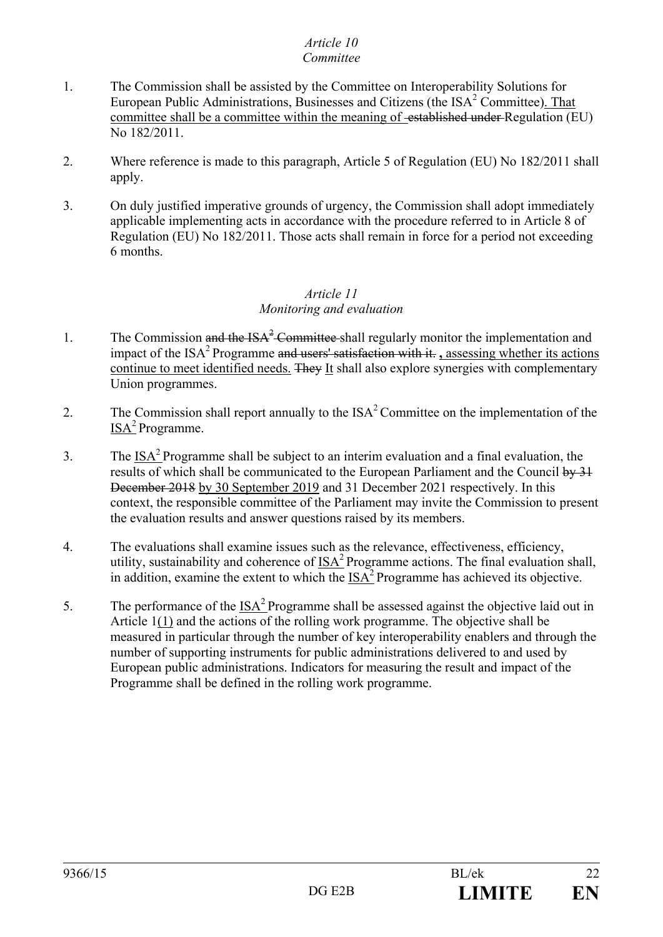#### *Article 10 Committee*

## 1. The Commission shall be assisted by the Committee on Interoperability Solutions for European Public Administrations, Businesses and Citizens (the  $ISA<sup>2</sup>$  Committee). That committee shall be a committee within the meaning of <del>established under</del> Regulation (EU) No 182/2011.

- 2. Where reference is made to this paragraph, Article 5 of Regulation (EU) No 182/2011 shall apply.
- 3. On duly justified imperative grounds of urgency, the Commission shall adopt immediately applicable implementing acts in accordance with the procedure referred to in Article 8 of Regulation (EU) No 182/2011. Those acts shall remain in force for a period not exceeding 6 months.

## *Article 11 Monitoring and evaluation*

- 1. The Commission and the  $ISA^2$  Committee shall regularly monitor the implementation and impact of the ISA<sup>2</sup> Programme and users' satisfaction with it. **A** assessing whether its actions continue to meet identified needs. They It shall also explore synergies with complementary Union programmes.
- 2. The Commission shall report annually to the  $ISA<sup>2</sup>$  Committee on the implementation of the  $ISA<sup>2</sup>$  Programme.
- 3. The ISA<sup>2</sup> Programme shall be subject to an interim evaluation and a final evaluation, the results of which shall be communicated to the European Parliament and the Council by 31 December 2018 by 30 September 2019 and 31 December 2021 respectively. In this context, the responsible committee of the Parliament may invite the Commission to present the evaluation results and answer questions raised by its members.
- 4. The evaluations shall examine issues such as the relevance, effectiveness, efficiency, utility, sustainability and coherence of  $ISA<sup>2</sup>$  Programme actions. The final evaluation shall, in addition, examine the extent to which the  $ISA<sup>2</sup>$  Programme has achieved its objective.
- 5. The performance of the  $ISA^2$  Programme shall be assessed against the objective laid out in Article 1(1) and the actions of the rolling work programme. The objective shall be measured in particular through the number of key interoperability enablers and through the number of supporting instruments for public administrations delivered to and used by European public administrations. Indicators for measuring the result and impact of the Programme shall be defined in the rolling work programme.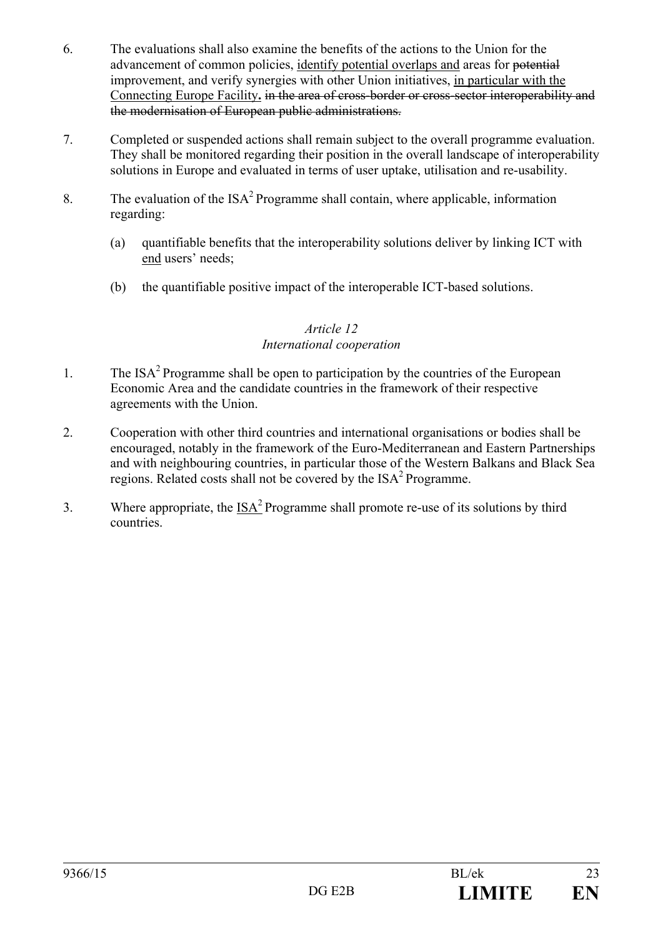- 6. The evaluations shall also examine the benefits of the actions to the Union for the advancement of common policies, identify potential overlaps and areas for potential improvement, and verify synergies with other Union initiatives, in particular with the Connecting Europe Facility**.** in the area of cross-border or cross-sector interoperability and the modernisation of European public administrations.
- 7. Completed or suspended actions shall remain subject to the overall programme evaluation. They shall be monitored regarding their position in the overall landscape of interoperability solutions in Europe and evaluated in terms of user uptake, utilisation and re-usability.
- 8. The evaluation of the  $ISA^2$  Programme shall contain, where applicable, information regarding:
	- (a) quantifiable benefits that the interoperability solutions deliver by linking ICT with end users' needs;
	- (b) the quantifiable positive impact of the interoperable ICT-based solutions.

## *Article 12 International cooperation*

- 1. The  $ISA<sup>2</sup>$  Programme shall be open to participation by the countries of the European Economic Area and the candidate countries in the framework of their respective agreements with the Union.
- 2. Cooperation with other third countries and international organisations or bodies shall be encouraged, notably in the framework of the Euro-Mediterranean and Eastern Partnerships and with neighbouring countries, in particular those of the Western Balkans and Black Sea regions. Related costs shall not be covered by the  $ISA<sup>2</sup>$  Programme.
- 3. Where appropriate, the  $ISA^2$  Programme shall promote re-use of its solutions by third countries.